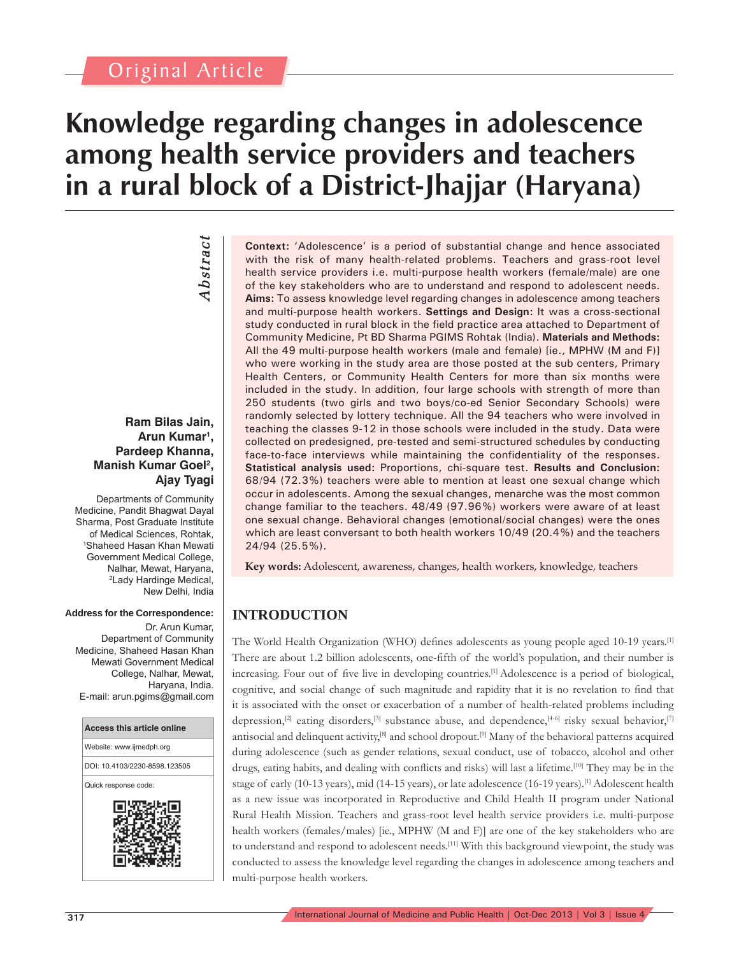## Original Article

*Abstract*

**Abstract** 

# **Knowledge regarding changes in adolescence among health service providers and teachers in a rural block of a District-Jhajjar (Haryana)**

**Ram Bilas Jain, Arun Kumar1 , Pardeep Khanna,** 

**Manish Kumar Goel2 ,** 

**Ajay Tyagi**

Departments of Community Medicine, Pandit Bhagwat Dayal Sharma, Post Graduate Institute of Medical Sciences, Rohtak, 1 Shaheed Hasan Khan Mewati Government Medical College, Nalhar, Mewat, Haryana, 2 Lady Hardinge Medical, New Delhi, India

#### **Address for the Correspondence:**

Dr. Arun Kumar, Department of Community Medicine, Shaheed Hasan Khan Mewati Government Medical College, Nalhar, Mewat, Haryana, India. E-mail: arun.pgims@gmail.com



**Context:** 'Adolescence' is a period of substantial change and hence associated with the risk of many health-related problems. Teachers and grass-root level health service providers i.e. multi-purpose health workers (female/male) are one of the key stakeholders who are to understand and respond to adolescent needs. **Aims:** To assess knowledge level regarding changes in adolescence among teachers and multi-purpose health workers. **Settings and Design:** It was a cross-sectional study conducted in rural block in the field practice area attached to Department of Community Medicine, Pt BD Sharma PGIMS Rohtak (India). **Materials and Methods:** All the 49 multi-purpose health workers (male and female) [ie., MPHW (M and F)] who were working in the study area are those posted at the sub centers, Primary Health Centers, or Community Health Centers for more than six months were included in the study. In addition, four large schools with strength of more than 250 students (two girls and two boys/co-ed Senior Secondary Schools) were randomly selected by lottery technique. All the 94 teachers who were involved in teaching the classes 9-12 in those schools were included in the study. Data were collected on predesigned, pre-tested and semi-structured schedules by conducting face-to-face interviews while maintaining the confidentiality of the responses. **Statistical analysis used:** Proportions, chi-square test. **Results and Conclusion:** 68/94 (72.3%) teachers were able to mention at least one sexual change which occur in adolescents. Among the sexual changes, menarche was the most common change familiar to the teachers. 48/49 (97.96%) workers were aware of at least one sexual change. Behavioral changes (emotional/social changes) were the ones which are least conversant to both health workers 10/49 (20.4%) and the teachers 24/94 (25.5%).

**Key words:** Adolescent, awareness, changes, health workers, knowledge, teachers

### **INTRODUCTION**

The World Health Organization (WHO) defines adolescents as young people aged 10-19 years.<sup>[1]</sup> There are about 1.2 billion adolescents, one-fifth of the world's population, and their number is increasing. Four out of five live in developing countries.<sup>[1]</sup> Adolescence is a period of biological, cognitive, and social change of such magnitude and rapidity that it is no revelation to find that it is associated with the onset or exacerbation of a number of health-related problems including depression,<sup>[2]</sup> eating disorders,<sup>[3]</sup> substance abuse, and dependence,<sup>[4-6]</sup> risky sexual behavior,<sup>[7]</sup> antisocial and delinquent activity,<sup>[8]</sup> and school dropout.<sup>[9]</sup> Many of the behavioral patterns acquired during adolescence (such as gender relations, sexual conduct, use of tobacco, alcohol and other drugs, eating habits, and dealing with conflicts and risks) will last a lifetime.<sup>[10]</sup> They may be in the stage of early (10-13 years), mid (14-15 years), or late adolescence (16-19 years).[1] Adolescent health as a new issue was incorporated in Reproductive and Child Health II program under National Rural Health Mission. Teachers and grass-root level health service providers i.e. multi-purpose health workers (females/males) [ie., MPHW (M and F)] are one of the key stakeholders who are to understand and respond to adolescent needs.[11] With this background viewpoint, the study was conducted to assess the knowledge level regarding the changes in adolescence among teachers and multi-purpose health workers.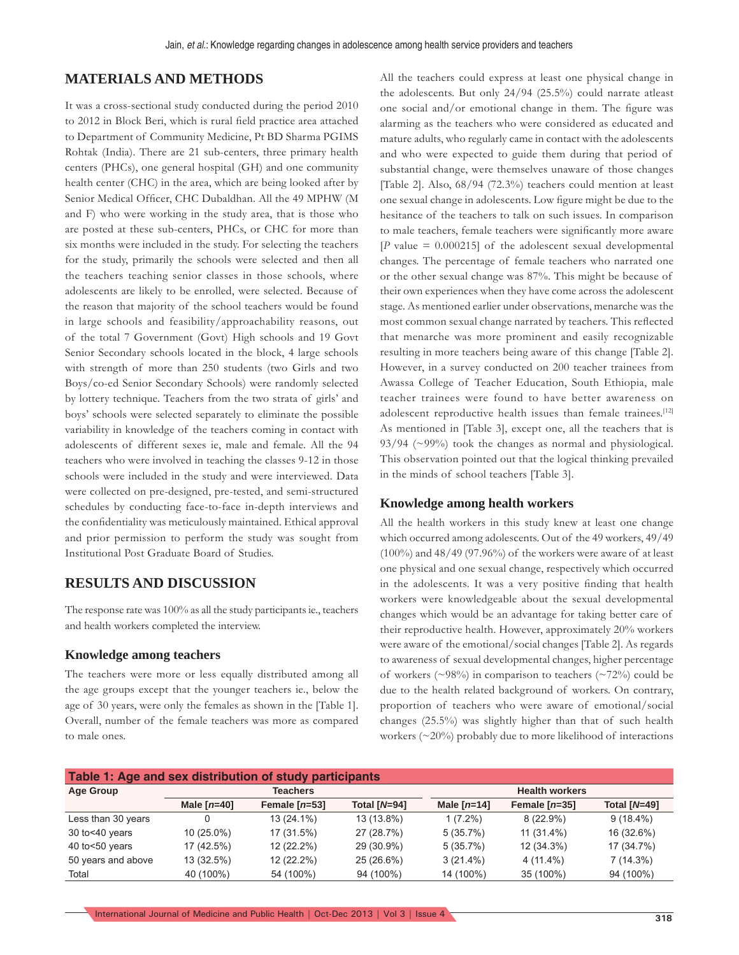#### **MATERIALS AND METHODS**

It was a cross-sectional study conducted during the period 2010 to 2012 in Block Beri, which is rural field practice area attached to Department of Community Medicine, Pt BD Sharma PGIMS Rohtak (India). There are 21 sub-centers, three primary health centers (PHCs), one general hospital (GH) and one community health center (CHC) in the area, which are being looked after by Senior Medical Officer, CHC Dubaldhan. All the 49 MPHW (M and F) who were working in the study area, that is those who are posted at these sub-centers, PHCs, or CHC for more than six months were included in the study. For selecting the teachers for the study, primarily the schools were selected and then all the teachers teaching senior classes in those schools, where adolescents are likely to be enrolled, were selected. Because of the reason that majority of the school teachers would be found in large schools and feasibility/approachability reasons, out of the total 7 Government (Govt) High schools and 19 Govt Senior Secondary schools located in the block, 4 large schools with strength of more than 250 students (two Girls and two Boys/co-ed Senior Secondary Schools) were randomly selected by lottery technique. Teachers from the two strata of girls' and boys' schools were selected separately to eliminate the possible variability in knowledge of the teachers coming in contact with adolescents of different sexes ie, male and female. All the 94 teachers who were involved in teaching the classes 9-12 in those schools were included in the study and were interviewed. Data were collected on pre-designed, pre-tested, and semi-structured schedules by conducting face-to-face in-depth interviews and the confidentiality was meticulously maintained. Ethical approval and prior permission to perform the study was sought from Institutional Post Graduate Board of Studies.

#### **RESULTS AND DISCUSSION**

The response rate was 100% as all the study participants ie., teachers and health workers completed the interview.

#### **Knowledge among teachers**

The teachers were more or less equally distributed among all the age groups except that the younger teachers ie., below the age of 30 years, were only the females as shown in the [Table 1]. Overall, number of the female teachers was more as compared to male ones.

All the teachers could express at least one physical change in the adolescents. But only 24/94 (25.5%) could narrate atleast one social and/or emotional change in them. The figure was alarming as the teachers who were considered as educated and mature adults, who regularly came in contact with the adolescents and who were expected to guide them during that period of substantial change, were themselves unaware of those changes [Table 2]. Also, 68/94 (72.3%) teachers could mention at least one sexual change in adolescents. Low figure might be due to the hesitance of the teachers to talk on such issues. In comparison to male teachers, female teachers were significantly more aware  $[P$  value = 0.000215] of the adolescent sexual developmental changes. The percentage of female teachers who narrated one or the other sexual change was 87%. This might be because of their own experiences when they have come across the adolescent stage. As mentioned earlier under observations, menarche was the most common sexual change narrated by teachers. This reflected that menarche was more prominent and easily recognizable resulting in more teachers being aware of this change [Table 2]. However, in a survey conducted on 200 teacher trainees from Awassa College of Teacher Education, South Ethiopia, male teacher trainees were found to have better awareness on adolescent reproductive health issues than female trainees.<sup>[12]</sup> As mentioned in [Table 3], except one, all the teachers that is 93/94 (~99%) took the changes as normal and physiological. This observation pointed out that the logical thinking prevailed in the minds of school teachers [Table 3].

#### **Knowledge among health workers**

All the health workers in this study knew at least one change which occurred among adolescents. Out of the 49 workers, 49/49 (100%) and 48/49 (97.96%) of the workers were aware of at least one physical and one sexual change, respectively which occurred in the adolescents. It was a very positive finding that health workers were knowledgeable about the sexual developmental changes which would be an advantage for taking better care of their reproductive health. However, approximately 20% workers were aware of the emotional/social changes [Table 2]. As regards to awareness of sexual developmental changes, higher percentage of workers ( $\sim$ 98%) in comparison to teachers ( $\sim$ 72%) could be due to the health related background of workers. On contrary, proportion of teachers who were aware of emotional/social changes (25.5%) was slightly higher than that of such health workers (~20%) probably due to more likelihood of interactions

| Table 1: Age and sex distribution of study participants |                 |                 |                |                       |                 |                |  |  |
|---------------------------------------------------------|-----------------|-----------------|----------------|-----------------------|-----------------|----------------|--|--|
| <b>Age Group</b>                                        | <b>Teachers</b> |                 |                | <b>Health workers</b> |                 |                |  |  |
|                                                         | Male $[n=40]$   | Female $[n=53]$ | Total $[N=94]$ | Male $[n=14]$         | Female $[n=35]$ | Total $[N=49]$ |  |  |
| Less than 30 years                                      |                 | $13(24.1\%)$    | 13 (13.8%)     | $1(7.2\%)$            | $8(22.9\%)$     | $9(18.4\%)$    |  |  |
| 30 to<40 years                                          | $10(25.0\%)$    | 17 (31.5%)      | 27 (28.7%)     | $5(35.7\%)$           | $11(31.4\%)$    | 16 (32.6%)     |  |  |
| 40 to<50 years                                          | 17 (42.5%)      | 12 (22.2%)      | 29 (30.9%)     | $5(35.7\%)$           | 12 (34.3%)      | 17 (34.7%)     |  |  |
| 50 years and above                                      | 13 (32.5%)      | 12 (22.2%)      | 25 (26.6%)     | $3(21.4\%)$           | $4(11.4\%)$     | $7(14.3\%)$    |  |  |
| Total                                                   | 40 (100%)       | 54 (100%)       | 94 (100%)      | 14 (100%)             | 35 (100%)       | 94 (100%)      |  |  |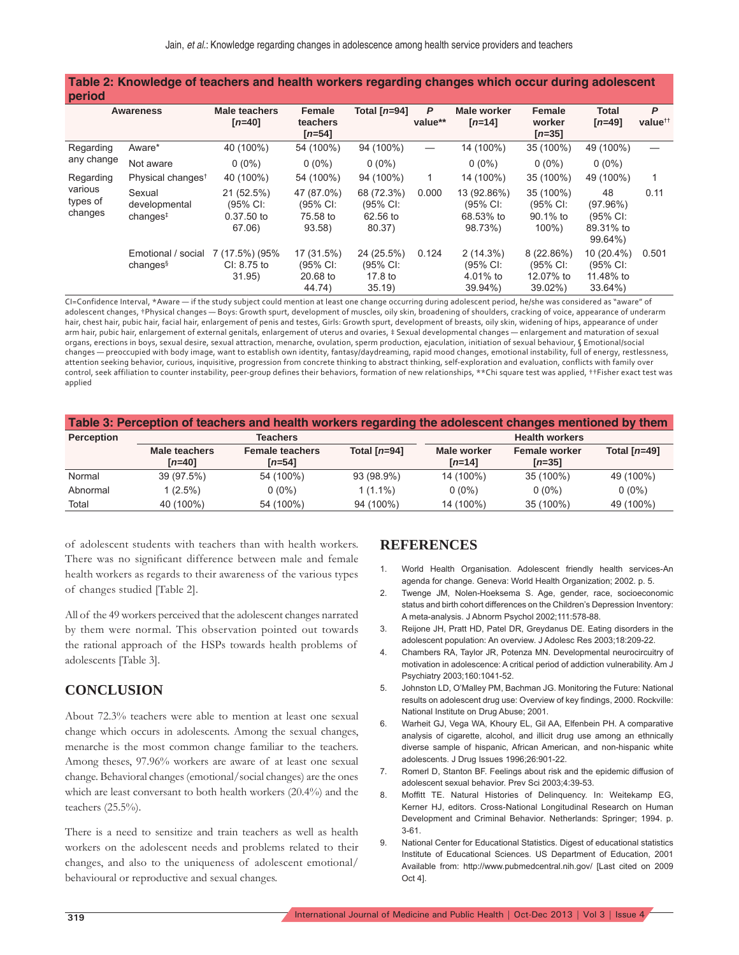| Table 2: Knowledge of teachers and health workers regarding changes which occur during adolescent<br>period |                                                 |                                                |                                              |                                              |              |                                                  |                                                 |                                                    |                          |
|-------------------------------------------------------------------------------------------------------------|-------------------------------------------------|------------------------------------------------|----------------------------------------------|----------------------------------------------|--------------|--------------------------------------------------|-------------------------------------------------|----------------------------------------------------|--------------------------|
|                                                                                                             | <b>Awareness</b>                                | <b>Male teachers</b><br>$[n=40]$               | <b>Female</b><br>teachers<br>$[n=54]$        | Total [n=94]                                 | P<br>value** | Male worker<br>$[n=14]$                          | Female<br>worker<br>$[n=35]$                    | Total<br>$[n=49]$                                  | P<br>value <sup>tt</sup> |
| Regarding<br>any change                                                                                     | Aware*                                          | 40 (100%)                                      | 54 (100%)                                    | 94 (100%)                                    |              | 14 (100%)                                        | 35 (100%)                                       | 49 (100%)                                          |                          |
|                                                                                                             | Not aware                                       | $0(0\%)$                                       | $0(0\%)$                                     | $0(0\%)$                                     |              | $0(0\%)$                                         | $0(0\%)$                                        | $0(0\%)$                                           |                          |
| Regarding<br>various<br>types of<br>changes                                                                 | Physical changes <sup>t</sup>                   | 40 (100%)                                      | 54 (100%)                                    | 94 (100%)                                    | 1            | 14 (100%)                                        | 35 (100%)                                       | 49 (100%)                                          | 1                        |
|                                                                                                             | Sexual<br>developmental<br>changes <sup>‡</sup> | 21 (52.5%)<br>(95% CI:<br>0.37.50 to<br>67.06) | 47 (87.0%)<br>(95% CI:<br>75.58 to<br>93.58) | 68 (72.3%)<br>(95% CI:<br>62.56 to<br>80.37) | 0.000        | 13 (92.86%)<br>(95% CI:<br>68.53% to<br>98.73%)  | 35 (100%)<br>(95% CI:<br>90.1% to<br>$100\%$ )  | 48<br>(97.96%)<br>(95% CI:<br>89.31% to<br>99.64%) | 0.11                     |
|                                                                                                             | Emotional / social<br>changes <sup>§</sup>      | 7 (17.5%) (95%<br>$Cl: 8.75$ to<br>31.95)      | 17 (31.5%)<br>(95% CI:<br>20.68 to<br>44.74) | 24 (25.5%)<br>(95% CI:<br>17.8 to<br>35.19   | 0.124        | $2(14.3\%)$<br>(95% CI:<br>4.01% to<br>$39.94\%$ | 8(22.86%)<br>(95% CI:<br>12.07% to<br>$39.02\%$ | 10 (20.4%)<br>(95% CI:<br>11.48% to<br>$33.64\%$   | 0.501                    |

CI=Confidence Interval, \*Aware — if the study subject could mention at least one change occurring during adolescent period, he/she was considered as "aware" of adolescent changes, †Physical changes — Boys: Growth spurt, development of muscles, oily skin, broadening of shoulders, cracking of voice, appearance of underarm hair, chest hair, pubic hair, facial hair, enlargement of penis and testes, Girls: Growth spurt, development of breasts, oily skin, widening of hips, appearance of under arm hair, pubic hair, enlargement of external genitals, enlargement of uterus and ovaries, ‡ Sexual developmental changes — enlargement and maturation of sexual organs, erections in boys, sexual desire, sexual attraction, menarche, ovulation, sperm production, ejaculation, initiation of sexual behaviour, § Emotional/social changes — preoccupied with body image, want to establish own identity, fantasy/daydreaming, rapid mood changes, emotional instability, full of energy, restlessness, attention seeking behavior, curious, inquisitive, progression from concrete thinking to abstract thinking, self-exploration and evaluation, conflicts with family over control, seek affiliation to counter instability, peer-group defines their behaviors, formation of new relationships, \*\*Chi square test was applied, ††Fisher exact test was applied

| Table 3: Perception of teachers and health workers regarding the adolescent changes mentioned by them |               |                        |                |                       |                      |                |  |  |
|-------------------------------------------------------------------------------------------------------|---------------|------------------------|----------------|-----------------------|----------------------|----------------|--|--|
| <b>Perception</b>                                                                                     | Teachers      |                        |                | <b>Health workers</b> |                      |                |  |  |
|                                                                                                       | Male teachers | <b>Female teachers</b> | Total $[n=94]$ | Male worker           | <b>Female worker</b> | Total $[n=49]$ |  |  |
|                                                                                                       | $[n=40]$      | $[n=54]$               |                | $[n=14]$              | $[n=35]$             |                |  |  |
| Normal                                                                                                | 39 (97.5%)    | 54 (100%)              | 93 (98.9%)     | 14 (100%)             | 35 (100%)            | 49 (100%)      |  |  |
| Abnormal                                                                                              | $1(2.5\%)$    | $0(0\%)$               | $1(1.1\%)$     | $0(0\%)$              | $0(0\%)$             | $0(0\%)$       |  |  |
| Total                                                                                                 | 40 (100%)     | 54 (100%)              | 94 (100%)      | 14 (100%)             | 35 (100%)            | 49 (100%)      |  |  |

of adolescent students with teachers than with health workers. There was no significant difference between male and female health workers as regards to their awareness of the various types of changes studied [Table 2].

All of the 49 workers perceived that the adolescent changes narrated by them were normal. This observation pointed out towards the rational approach of the HSPs towards health problems of adolescents [Table 3].

### **CONCLUSION**

About 72.3% teachers were able to mention at least one sexual change which occurs in adolescents. Among the sexual changes, menarche is the most common change familiar to the teachers. Among theses, 97.96% workers are aware of at least one sexual change. Behavioral changes (emotional/social changes) are the ones which are least conversant to both health workers (20.4%) and the teachers (25.5%).

There is a need to sensitize and train teachers as well as health workers on the adolescent needs and problems related to their changes, and also to the uniqueness of adolescent emotional/ behavioural or reproductive and sexual changes.

#### **REFERENCES**

- 1. World Health Organisation. Adolescent friendly health services-An agenda for change. Geneva: World Health Organization; 2002. p. 5.
- 2. Twenge JM, Nolen-Hoeksema S. Age, gender, race, socioeconomic status and birth cohort differences on the Children's Depression Inventory: A meta-analysis. J Abnorm Psychol 2002;111:578-88.
- 3. Reijone JH, Pratt HD, Patel DR, Greydanus DE. Eating disorders in the adolescent population: An overview. J Adolesc Res 2003;18:209-22.
- 4. Chambers RA, Taylor JR, Potenza MN. Developmental neurocircuitry of motivation in adolescence: A critical period of addiction vulnerability. Am J Psychiatry 2003;160:1041-52.
- 5. Johnston LD, O'Malley PM, Bachman JG. Monitoring the Future: National results on adolescent drug use: Overview of key findings, 2000. Rockville: National Institute on Drug Abuse; 2001.
- 6. Warheit GJ, Vega WA, Khoury EL, Gil AA, Elfenbein PH. A comparative analysis of cigarette, alcohol, and illicit drug use among an ethnically diverse sample of hispanic, African American, and non-hispanic white adolescents. J Drug Issues 1996;26:901-22.
- 7. Romerl D, Stanton BF. Feelings about risk and the epidemic diffusion of adolescent sexual behavior. Prev Sci 2003;4:39-53.
- Moffitt TE. Natural Histories of Delinquency. In: Weitekamp EG, Kerner HJ, editors. Cross-National Longitudinal Research on Human Development and Criminal Behavior. Netherlands: Springer; 1994. p. 3-61.
- 9. National Center for Educational Statistics. Digest of educational statistics Institute of Educational Sciences. US Department of Education, 2001 Available from: http://www.pubmedcentral.nih.gov/ [Last cited on 2009 Oct 4].